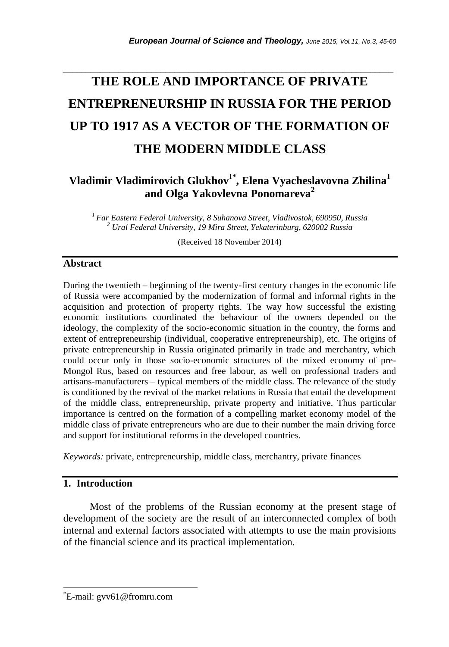# **THE ROLE AND IMPORTANCE OF PRIVATE ENTREPRENEURSHIP IN RUSSIA FOR THE PERIOD UP TO 1917 AS A VECTOR OF THE FORMATION OF THE MODERN MIDDLE CLASS**

*\_\_\_\_\_\_\_\_\_\_\_\_\_\_\_\_\_\_\_\_\_\_\_\_\_\_\_\_\_\_\_\_\_\_\_\_\_\_\_\_\_\_\_\_\_\_\_\_\_\_\_\_\_\_\_\_\_\_\_\_\_\_\_\_\_\_\_\_\_\_\_*

## **Vladimir Vladimirovich Glukhov1\* , Elena Vyacheslavovna Zhilina<sup>1</sup> and Olga Yakovlevna Ponomareva<sup>2</sup>**

*<sup>1</sup>Far Eastern Federal University, 8 Suhanova Street, Vladivostok, 690950, Russia <sup>2</sup> Ural Federal University, 19 Mira Street, Yekaterinburg, 620002 Russia*

(Received 18 November 2014)

#### **Abstract**

During the twentieth – beginning of the twenty-first century changes in the economic life of Russia were accompanied by the modernization of formal and informal rights in the acquisition and protection of property rights. The way how successful the existing economic institutions coordinated the behaviour of the owners depended on the ideology, the complexity of the socio-economic situation in the country, the forms and extent of entrepreneurship (individual, cooperative entrepreneurship), etc. The origins of private entrepreneurship in Russia originated primarily in trade and merchantry, which could occur only in those socio-economic structures of the mixed economy of pre-Mongol Rus, based on resources and free labour, as well on professional traders and artisans-manufacturers – typical members of the middle class. The relevance of the study is conditioned by the revival of the market relations in Russia that entail the development of the middle class, entrepreneurship, private property and initiative. Thus particular importance is centred on the formation of a compelling market economy model of the middle class of private entrepreneurs who are due to their number the main driving force and support for institutional reforms in the developed countries.

*Keywords:* private, entrepreneurship, middle class, merchantry, private finances

#### **1. Introduction**

l

Most of the problems of the Russian economy at the present stage of development of the society are the result of an interconnected complex of both internal and external factors associated with attempts to use the main provisions of the financial science and its practical implementation.

<sup>\*</sup>E-mail: gvv61@fromru.com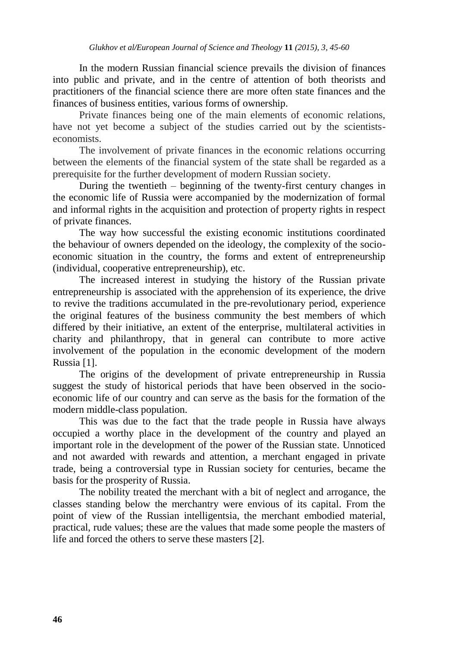In the modern Russian financial science prevails the division of finances into public and private, and in the centre of attention of both theorists and practitioners of the financial science there are more often state finances and the finances of business entities, various forms of ownership.

Private finances being one of the main elements of economic relations, have not yet become a subject of the studies carried out by the scientistseconomists.

The involvement of private finances in the economic relations occurring between the elements of the financial system of the state shall be regarded as a prerequisite for the further development of modern Russian society.

During the twentieth – beginning of the twenty-first century changes in the economic life of Russia were accompanied by the modernization of formal and informal rights in the acquisition and protection of property rights in respect of private finances.

The way how successful the existing economic institutions coordinated the behaviour of owners depended on the ideology, the complexity of the socioeconomic situation in the country, the forms and extent of entrepreneurship (individual, cooperative entrepreneurship), etc.

The increased interest in studying the history of the Russian private entrepreneurship is associated with the apprehension of its experience, the drive to revive the traditions accumulated in the pre-revolutionary period, experience the original features of the business community the best members of which differed by their initiative, an extent of the enterprise, multilateral activities in charity and philanthropy, that in general can contribute to more active involvement of the population in the economic development of the modern Russia [1].

The origins of the development of private entrepreneurship in Russia suggest the study of historical periods that have been observed in the socioeconomic life of our country and can serve as the basis for the formation of the modern middle-class population.

This was due to the fact that the trade people in Russia have always occupied a worthy place in the development of the country and played an important role in the development of the power of the Russian state. Unnoticed and not awarded with rewards and attention, a merchant engaged in private trade, being a controversial type in Russian society for centuries, became the basis for the prosperity of Russia.

The nobility treated the merchant with a bit of neglect and arrogance, the classes standing below the merchantry were envious of its capital. From the point of view of the Russian intelligentsia, the merchant embodied material, practical, rude values; these are the values that made some people the masters of life and forced the others to serve these masters [2].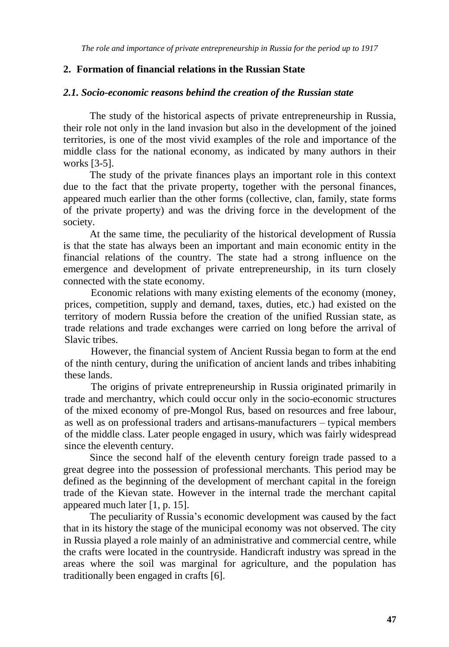#### **2. Formation of financial relations in the Russian State**

#### *2.1. Socio-economic reasons behind the creation of the Russian state*

The study of the historical aspects of private entrepreneurship in Russia, their role not only in the land invasion but also in the development of the joined territories, is one of the most vivid examples of the role and importance of the middle class for the national economy, as indicated by many authors in their works [3-5].

The study of the private finances plays an important role in this context due to the fact that the private property, together with the personal finances, appeared much earlier than the other forms (collective, clan, family, state forms of the private property) and was the driving force in the development of the society.

At the same time, the peculiarity of the historical development of Russia is that the state has always been an important and main economic entity in the financial relations of the country. The state had a strong influence on the emergence and development of private entrepreneurship, in its turn closely connected with the state economy.

Economic relations with many existing elements of the economy (money, prices, competition, supply and demand, taxes, duties, etc.) had existed on the territory of modern Russia before the creation of the unified Russian state, as trade relations and trade exchanges were carried on long before the arrival of Slavic tribes.

However, the financial system of Ancient Russia began to form at the end of the ninth century, during the unification of ancient lands and tribes inhabiting these lands.

The origins of private entrepreneurship in Russia originated primarily in trade and merchantry, which could occur only in the socio-economic structures of the mixed economy of pre-Mongol Rus, based on resources and free labour, as well as on professional traders and artisans-manufacturers – typical members of the middle class. Later people engaged in usury, which was fairly widespread since the eleventh century.

Since the second half of the eleventh century foreign trade passed to a great degree into the possession of professional merchants. This period may be defined as the beginning of the development of merchant capital in the foreign trade of the Kievan state. However in the internal trade the merchant capital appeared much later [1, p. 15].

The peculiarity of Russia's economic development was caused by the fact that in its history the stage of the municipal economy was not observed. The city in Russia played a role mainly of an administrative and commercial centre, while the crafts were located in the countryside. Handicraft industry was spread in the areas where the soil was marginal for agriculture, and the population has traditionally been engaged in crafts [6].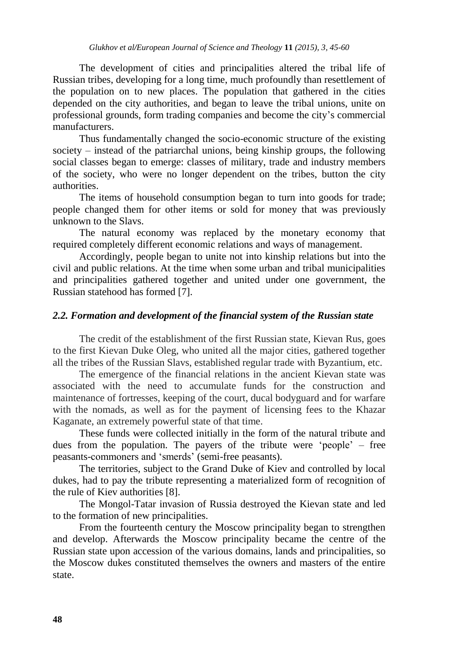The development of cities and principalities altered the tribal life of Russian tribes, developing for a long time, much profoundly than resettlement of the population on to new places. The population that gathered in the cities depended on the city authorities, and began to leave the tribal unions, unite on professional grounds, form trading companies and become the city's commercial manufacturers.

Thus fundamentally changed the socio-economic structure of the existing society – instead of the patriarchal unions, being kinship groups, the following social classes began to emerge: classes of military, trade and industry members of the society, who were no longer dependent on the tribes, button the city authorities.

The items of household consumption began to turn into goods for trade; people changed them for other items or sold for money that was previously unknown to the Slavs.

The natural economy was replaced by the monetary economy that required completely different economic relations and ways of management.

Accordingly, people began to unite not into kinship relations but into the civil and public relations. At the time when some urban and tribal municipalities and principalities gathered together and united under one government, the Russian statehood has formed [7].

### *2.2. Formation and development of the financial system of the Russian state*

The credit of the establishment of the first Russian state, Kievan Rus, goes to the first Kievan Duke Oleg, who united all the major cities, gathered together all the tribes of the Russian Slavs, established regular trade with Byzantium, etc.

The emergence of the financial relations in the ancient Kievan state was associated with the need to accumulate funds for the construction and maintenance of fortresses, keeping of the court, ducal bodyguard and for warfare with the nomads, as well as for the payment of licensing fees to the Khazar Kaganate, an extremely powerful state of that time.

These funds were collected initially in the form of the natural tribute and dues from the population. The payers of the tribute were 'people' – free peasants-commoners and 'smerds' (semi-free peasants).

The territories, subject to the Grand Duke of Kiev and controlled by local dukes, had to pay the tribute representing a materialized form of recognition of the rule of Kiev authorities [8].

The Mongol-Tatar invasion of Russia destroyed the Kievan state and led to the formation of new principalities.

From the fourteenth century the Moscow principality began to strengthen and develop. Afterwards the Moscow principality became the centre of the Russian state upon accession of the various domains, lands and principalities, so the Moscow dukes constituted themselves the owners and masters of the entire state.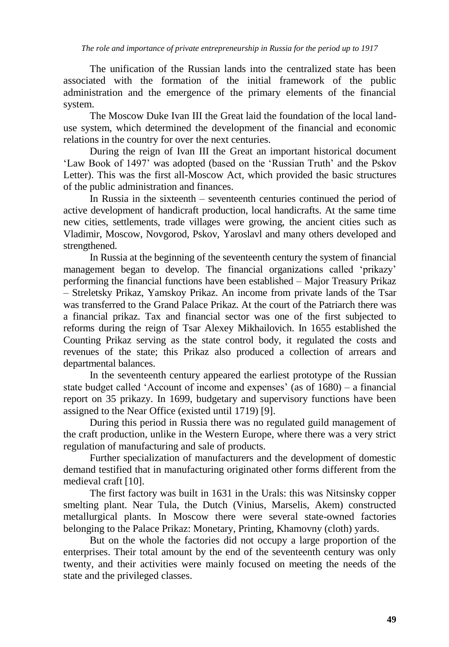The unification of the Russian lands into the centralized state has been associated with the formation of the initial framework of the public administration and the emergence of the primary elements of the financial system.

The Moscow Duke Ivan III the Great laid the foundation of the local landuse system, which determined the development of the financial and economic relations in the country for over the next centuries.

During the reign of Ivan III the Great an important historical document 'Law Book of 1497' was adopted (based on the 'Russian Truth' and the Pskov Letter). This was the first all-Moscow Act, which provided the basic structures of the public administration and finances.

In Russia in the sixteenth – seventeenth centuries continued the period of active development of handicraft production, local handicrafts. At the same time new cities, settlements, trade villages were growing, the ancient cities such as Vladimir, Moscow, Novgorod, Pskov, Yaroslavl and many others developed and strengthened.

In Russia at the beginning of the seventeenth century the system of financial management began to develop. The financial organizations called 'prikazy' performing the financial functions have been established – Major Treasury Prikaz – Streletsky Prikaz, Yamskoy Prikaz. An income from private lands of the Tsar was transferred to the Grand Palace Prikaz. At the court of the Patriarch there was a financial prikaz. Tax and financial sector was one of the first subjected to reforms during the reign of Tsar Alexey Mikhailovich. In 1655 established the Counting Prikaz serving as the state control body, it regulated the costs and revenues of the state; this Prikaz also produced a collection of arrears and departmental balances.

In the seventeenth century appeared the earliest prototype of the Russian state budget called 'Account of income and expenses' (as of 1680) – a financial report on 35 prikazy. In 1699, budgetary and supervisory functions have been assigned to the Near Office (existed until 1719) [9].

During this period in Russia there was no regulated guild management of the craft production, unlike in the Western Europe, where there was a very strict regulation of manufacturing and sale of products.

Further specialization of manufacturers and the development of domestic demand testified that in manufacturing originated other forms different from the medieval craft [10].

The first factory was built in 1631 in the Urals: this was Nitsinsky copper smelting plant. Near Tula, the Dutch (Vinius, Marselis, Akem) constructed metallurgical plants. In Moscow there were several state-owned factories belonging to the Palace Prikaz: Monetary, Printing, Khamovny (cloth) yards.

But on the whole the factories did not occupy a large proportion of the enterprises. Their total amount by the end of the seventeenth century was only twenty, and their activities were mainly focused on meeting the needs of the state and the privileged classes.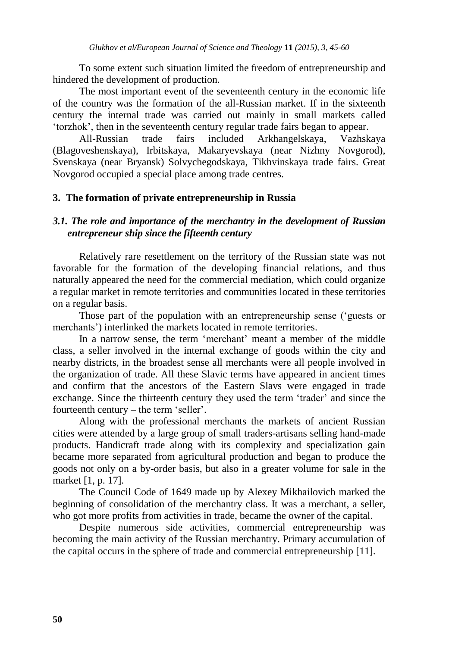To some extent such situation limited the freedom of entrepreneurship and hindered the development of production.

The most important event of the seventeenth century in the economic life of the country was the formation of the all-Russian market. If in the sixteenth century the internal trade was carried out mainly in small markets called 'torzhok', then in the seventeenth century regular trade fairs began to appear.

All-Russian trade fairs included Arkhangelskaya, Vazhskaya (Blagoveshenskaya), Irbitskaya, Makaryevskaya (near Nizhny Novgorod), Svenskaya (near Bryansk) Solvychegodskaya, Tikhvinskaya trade fairs. Great Novgorod occupied a special place among trade centres.

#### **3. The formation of private entrepreneurship in Russia**

#### *3.1. The role and importance of the merchantry in the development of Russian entrepreneur ship since the fifteenth century*

Relatively rare resettlement on the territory of the Russian state was not favorable for the formation of the developing financial relations, and thus naturally appeared the need for the commercial mediation, which could organize a regular market in remote territories and communities located in these territories on a regular basis.

Those part of the population with an entrepreneurship sense ('guests or merchants') interlinked the markets located in remote territories.

In a narrow sense, the term 'merchant' meant a member of the middle class, a seller involved in the internal exchange of goods within the city and nearby districts, in the broadest sense all merchants were all people involved in the organization of trade. All these Slavic terms have appeared in ancient times and confirm that the ancestors of the Eastern Slavs were engaged in trade exchange. Since the thirteenth century they used the term 'trader' and since the fourteenth century – the term 'seller'.

Along with the professional merchants the markets of ancient Russian cities were attended by a large group of small traders-artisans selling hand-made products. Handicraft trade along with its complexity and specialization gain became more separated from agricultural production and began to produce the goods not only on a by-order basis, but also in a greater volume for sale in the market [1, p. 17].

The Council Code of 1649 made up by Alexey Mikhailovich marked the beginning of consolidation of the merchantry class. It was a merchant, a seller, who got more profits from activities in trade, became the owner of the capital.

Despite numerous side activities, commercial entrepreneurship was becoming the main activity of the Russian merchantry. Primary accumulation of the capital occurs in the sphere of trade and commercial entrepreneurship [11].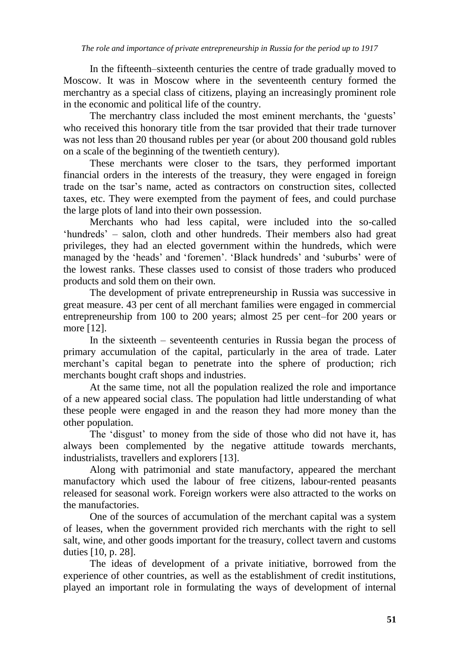In the fifteenth–sixteenth centuries the centre of trade gradually moved to Moscow. It was in Moscow where in the seventeenth century formed the merchantry as a special class of citizens, playing an increasingly prominent role in the economic and political life of the country.

The merchantry class included the most eminent merchants, the 'guests' who received this honorary title from the tsar provided that their trade turnover was not less than 20 thousand rubles per year (or about 200 thousand gold rubles on a scale of the beginning of the twentieth century).

These merchants were closer to the tsars, they performed important financial orders in the interests of the treasury, they were engaged in foreign trade on the tsar's name, acted as contractors on construction sites, collected taxes, etc. They were exempted from the payment of fees, and could purchase the large plots of land into their own possession.

Merchants who had less capital, were included into the so-called 'hundreds' – salon, cloth and other hundreds. Their members also had great privileges, they had an elected government within the hundreds, which were managed by the 'heads' and 'foremen'. 'Black hundreds' and 'suburbs' were of the lowest ranks. These classes used to consist of those traders who produced products and sold them on their own.

The development of private entrepreneurship in Russia was successive in great measure. 43 per cent of all merchant families were engaged in commercial entrepreneurship from 100 to 200 years; almost 25 per cent–for 200 years or more [12].

In the sixteenth – seventeenth centuries in Russia began the process of primary accumulation of the capital, particularly in the area of trade. Later merchant's capital began to penetrate into the sphere of production; rich merchants bought craft shops and industries.

At the same time, not all the population realized the role and importance of a new appeared social class. The population had little understanding of what these people were engaged in and the reason they had more money than the other population.

The 'disgust' to money from the side of those who did not have it, has always been complemented by the negative attitude towards merchants, industrialists, travellers and explorers [13].

Along with patrimonial and state manufactory, appeared the merchant manufactory which used the labour of free citizens, labour-rented peasants released for seasonal work. Foreign workers were also attracted to the works on the manufactories.

One of the sources of accumulation of the merchant capital was a system of leases, when the government provided rich merchants with the right to sell salt, wine, and other goods important for the treasury, collect tavern and customs duties [10, p. 28].

The ideas of development of a private initiative, borrowed from the experience of other countries, as well as the establishment of credit institutions, played an important role in formulating the ways of development of internal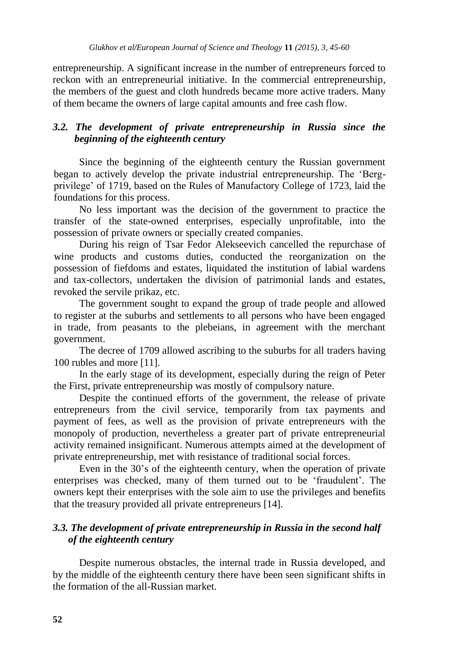entrepreneurship. A significant increase in the number of entrepreneurs forced to reckon with an entrepreneurial initiative. In the commercial entrepreneurship, the members of the guest and cloth hundreds became more active traders. Many of them became the owners of large capital amounts and free cash flow.

## *3.2. The development of private entrepreneurship in Russia since the beginning of the eighteenth century*

Since the beginning of the eighteenth century the Russian government began to actively develop the private industrial entrepreneurship. The 'Bergprivilege' of 1719, based on the Rules of Manufactory College of 1723, laid the foundations for this process.

No less important was the decision of the government to practice the transfer of the state-owned enterprises, especially unprofitable, into the possession of private owners or specially created companies.

During his reign of Tsar Fedor Alekseevich cancelled the repurchase of wine products and customs duties, conducted the reorganization on the possession of fiefdoms and estates, liquidated the institution of labial wardens and tax-collectors, undertaken the division of patrimonial lands and estates, revoked the servile prikaz, etc.

The government sought to expand the group of trade people and allowed to register at the suburbs and settlements to all persons who have been engaged in trade, from peasants to the plebeians, in agreement with the merchant government.

The decree of 1709 allowed ascribing to the suburbs for all traders having 100 rubles and more [11].

In the early stage of its development, especially during the reign of Peter the First, private entrepreneurship was mostly of compulsory nature.

Despite the continued efforts of the government, the release of private entrepreneurs from the civil service, temporarily from tax payments and payment of fees, as well as the provision of private entrepreneurs with the monopoly of production, nevertheless a greater part of private entrepreneurial activity remained insignificant. Numerous attempts aimed at the development of private entrepreneurship, met with resistance of traditional social forces.

Even in the 30's of the eighteenth century, when the operation of private enterprises was checked, many of them turned out to be 'fraudulent'. The owners kept their enterprises with the sole aim to use the privileges and benefits that the treasury provided all private entrepreneurs [14].

## *3.3. The development of private entrepreneurship in Russia in the second half of the eighteenth century*

Despite numerous obstacles, the internal trade in Russia developed, and by the middle of the eighteenth century there have been seen significant shifts in the formation of the all-Russian market.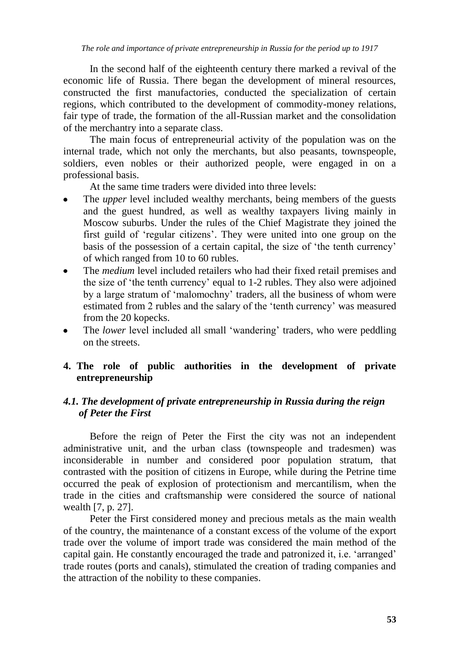In the second half of the eighteenth century there marked a revival of the economic life of Russia. There began the development of mineral resources, constructed the first manufactories, conducted the specialization of certain regions, which contributed to the development of commodity-money relations, fair type of trade, the formation of the all-Russian market and the consolidation of the merchantry into a separate class.

The main focus of entrepreneurial activity of the population was on the internal trade, which not only the merchants, but also peasants, townspeople, soldiers, even nobles or their authorized people, were engaged in on a professional basis.

At the same time traders were divided into three levels:

- The *upper* level included wealthy merchants, being members of the guests and the guest hundred, as well as wealthy taxpayers living mainly in Moscow suburbs. Under the rules of the Chief Magistrate they joined the first guild of 'regular citizens'. They were united into one group on the basis of the possession of a certain capital, the size of 'the tenth currency' of which ranged from 10 to 60 rubles.
- The *medium* level included retailers who had their fixed retail premises and the size of 'the tenth currency' equal to 1-2 rubles. They also were adjoined by a large stratum of 'malomochny' traders, all the business of whom were estimated from 2 rubles and the salary of the 'tenth currency' was measured from the 20 kopecks.
- The *lower* level included all small 'wandering' traders, who were peddling on the streets.

## **4. The role of public authorities in the development of private entrepreneurship**

## *4.1. The development of private entrepreneurship in Russia during the reign of Peter the First*

Before the reign of Peter the First the city was not an independent administrative unit, and the urban class (townspeople and tradesmen) was inconsiderable in number and considered poor population stratum, that contrasted with the position of citizens in Europe, while during the Petrine time occurred the peak of explosion of protectionism and mercantilism, when the trade in the cities and craftsmanship were considered the source of national wealth [7, p. 27].

Peter the First considered money and precious metals as the main wealth of the country, the maintenance of a constant excess of the volume of the export trade over the volume of import trade was considered the main method of the capital gain. He constantly encouraged the trade and patronized it, i.e. 'arranged' trade routes (ports and canals), stimulated the creation of trading companies and the attraction of the nobility to these companies.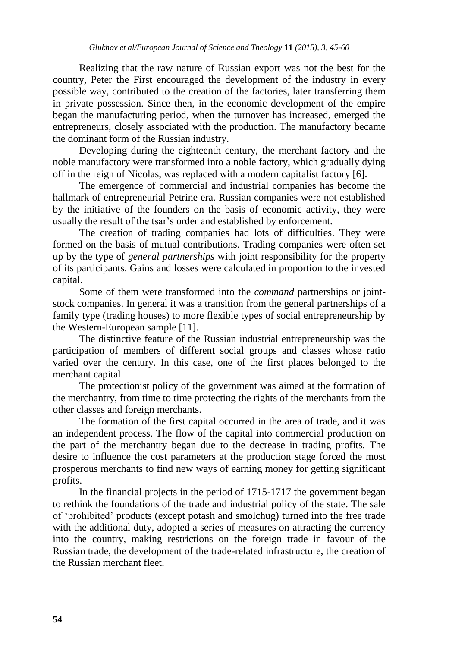Realizing that the raw nature of Russian export was not the best for the country, Peter the First encouraged the development of the industry in every possible way, contributed to the creation of the factories, later transferring them in private possession. Since then, in the economic development of the empire began the manufacturing period, when the turnover has increased, emerged the entrepreneurs, closely associated with the production. The manufactory became the dominant form of the Russian industry.

Developing during the eighteenth century, the merchant factory and the noble manufactory were transformed into a noble factory, which gradually dying off in the reign of Nicolas, was replaced with a modern capitalist factory [6].

The emergence of commercial and industrial companies has become the hallmark of entrepreneurial Petrine era. Russian companies were not established by the initiative of the founders on the basis of economic activity, they were usually the result of the tsar's order and established by enforcement.

The creation of trading companies had lots of difficulties. They were formed on the basis of mutual contributions. Trading companies were often set up by the type of *general partnerships* with joint responsibility for the property of its participants. Gains and losses were calculated in proportion to the invested capital.

Some of them were transformed into the *command* partnerships or jointstock companies. In general it was a transition from the general partnerships of a family type (trading houses) to more flexible types of social entrepreneurship by the Western-European sample [11].

The distinctive feature of the Russian industrial entrepreneurship was the participation of members of different social groups and classes whose ratio varied over the century. In this case, one of the first places belonged to the merchant capital.

The protectionist policy of the government was aimed at the formation of the merchantry, from time to time protecting the rights of the merchants from the other classes and foreign merchants.

The formation of the first capital occurred in the area of trade, and it was an independent process. The flow of the capital into commercial production on the part of the merchantry began due to the decrease in trading profits. The desire to influence the cost parameters at the production stage forced the most prosperous merchants to find new ways of earning money for getting significant profits.

In the financial projects in the period of 1715-1717 the government began to rethink the foundations of the trade and industrial policy of the state. The sale of 'prohibited' products (except potash and smolchug) turned into the free trade with the additional duty, adopted a series of measures on attracting the currency into the country, making restrictions on the foreign trade in favour of the Russian trade, the development of the trade-related infrastructure, the creation of the Russian merchant fleet.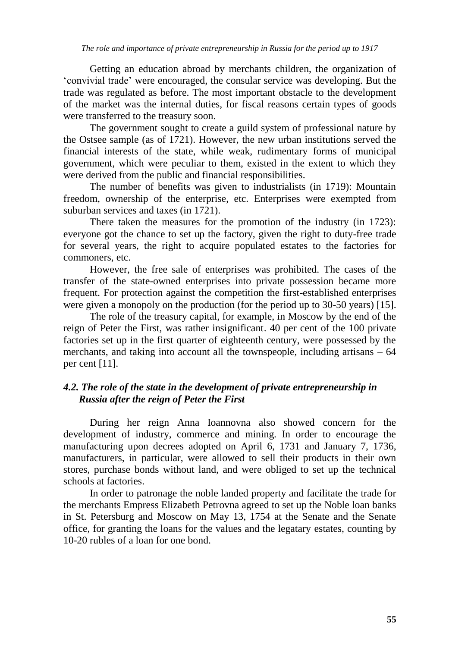Getting an education abroad by merchants children, the organization of 'convivial trade' were encouraged, the consular service was developing. But the trade was regulated as before. The most important obstacle to the development of the market was the internal duties, for fiscal reasons certain types of goods were transferred to the treasury soon.

The government sought to create a guild system of professional nature by the Ostsee sample (as of 1721). However, the new urban institutions served the financial interests of the state, while weak, rudimentary forms of municipal government, which were peculiar to them, existed in the extent to which they were derived from the public and financial responsibilities.

The number of benefits was given to industrialists (in 1719): Mountain freedom, ownership of the enterprise, etc. Enterprises were exempted from suburban services and taxes (in 1721).

There taken the measures for the promotion of the industry (in 1723): everyone got the chance to set up the factory, given the right to duty-free trade for several years, the right to acquire populated estates to the factories for commoners, etc.

However, the free sale of enterprises was prohibited. The cases of the transfer of the state-owned enterprises into private possession became more frequent. For protection against the competition the first-established enterprises were given a monopoly on the production (for the period up to 30-50 years) [15].

The role of the treasury capital, for example, in Moscow by the end of the reign of Peter the First, was rather insignificant. 40 per cent of the 100 private factories set up in the first quarter of eighteenth century, were possessed by the merchants, and taking into account all the townspeople, including artisans – 64 per cent [11].

## *4.2. The role of the state in the development of private entrepreneurship in Russia after the reign of Peter the First*

During her reign Anna Ioannovna also showed concern for the development of industry, commerce and mining. In order to encourage the manufacturing upon decrees adopted on April 6, 1731 and January 7, 1736, manufacturers, in particular, were allowed to sell their products in their own stores, purchase bonds without land, and were obliged to set up the technical schools at factories.

In order to patronage the noble landed property and facilitate the trade for the merchants Empress Elizabeth Petrovna agreed to set up the Noble loan banks in St. Petersburg and Moscow on May 13, 1754 at the Senate and the Senate office, for granting the loans for the values and the legatary estates, counting by 10-20 rubles of a loan for one bond.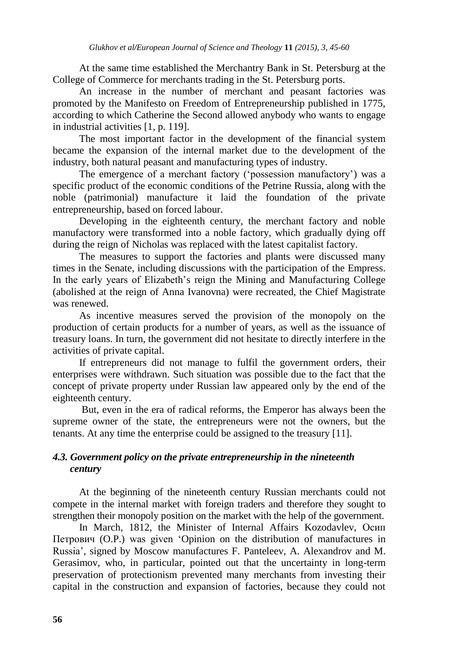At the same time established the Merchantry Bank in St. Petersburg at the College of Commerce for merchants trading in the St. Petersburg ports.

An increase in the number of merchant and peasant factories was promoted by the Manifesto on Freedom of Entrepreneurship published in 1775, according to which Catherine the Second allowed anybody who wants to engage in industrial activities [1, p. 119].

The most important factor in the development of the financial system became the expansion of the internal market due to the development of the industry, both natural peasant and manufacturing types of industry.

The emergence of a merchant factory ('possession manufactory') was a specific product of the economic conditions of the Petrine Russia, along with the noble (patrimonial) manufacture it laid the foundation of the private entrepreneurship, based on forced labour.

Developing in the eighteenth century, the merchant factory and noble manufactory were transformed into a noble factory, which gradually dying off during the reign of Nicholas was replaced with the latest capitalist factory.

The measures to support the factories and plants were discussed many times in the Senate, including discussions with the participation of the Empress. In the early years of Elizabeth's reign the Mining and Manufacturing College (abolished at the reign of Anna Ivanovna) were recreated, the Chief Magistrate was renewed.

As incentive measures served the provision of the monopoly on the production of certain products for a number of years, as well as the issuance of treasury loans. In turn, the government did not hesitate to directly interfere in the activities of private capital.

If entrepreneurs did not manage to fulfil the government orders, their enterprises were withdrawn. Such situation was possible due to the fact that the concept of private property under Russian law appeared only by the end of the eighteenth century.

But, even in the era of radical reforms, the Emperor has always been the supreme owner of the state, the entrepreneurs were not the owners, but the tenants. At any time the enterprise could be assigned to the treasury [11].

#### *4.3. Government policy on the private entrepreneurship in the nineteenth century*

At the beginning of the nineteenth century Russian merchants could not compete in the internal market with foreign traders and therefore they sought to strengthen their monopoly position on the market with the help of the government.

In March, 1812, the Minister of Internal Affairs Kozodavlev, Осип Петрович (O.P.) was given 'Opinion on the distribution of manufactures in Russia', signed by Moscow manufactures F. Panteleev, A. Alexandrov and M. Gerasimov, who, in particular, pointed out that the uncertainty in long-term preservation of protectionism prevented many merchants from investing their capital in the construction and expansion of factories, because they could not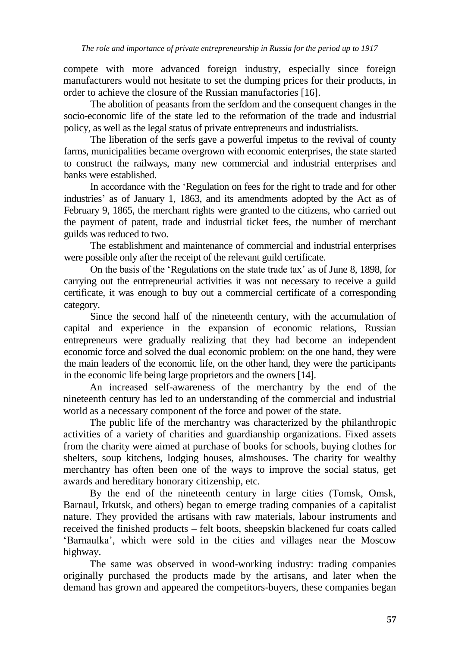compete with more advanced foreign industry, especially since foreign manufacturers would not hesitate to set the dumping prices for their products, in order to achieve the closure of the Russian manufactories [16].

The abolition of peasants from the serfdom and the consequent changes in the socio-economic life of the state led to the reformation of the trade and industrial policy, as well as the legal status of private entrepreneurs and industrialists.

The liberation of the serfs gave a powerful impetus to the revival of county farms, municipalities became overgrown with economic enterprises, the state started to construct the railways, many new commercial and industrial enterprises and banks were established.

In accordance with the 'Regulation on fees for the right to trade and for other industries' as of January 1, 1863, and its amendments adopted by the Act as of February 9, 1865, the merchant rights were granted to the citizens, who carried out the payment of patent, trade and industrial ticket fees, the number of merchant guilds was reduced to two.

The establishment and maintenance of commercial and industrial enterprises were possible only after the receipt of the relevant guild certificate.

On the basis of the 'Regulations on the state trade tax' as of June 8, 1898, for carrying out the entrepreneurial activities it was not necessary to receive a guild certificate, it was enough to buy out a commercial certificate of a corresponding category.

Since the second half of the nineteenth century, with the accumulation of capital and experience in the expansion of economic relations, Russian entrepreneurs were gradually realizing that they had become an independent economic force and solved the dual economic problem: on the one hand, they were the main leaders of the economic life, on the other hand, they were the participants in the economic life being large proprietors and the owners [14].

An increased self-awareness of the merchantry by the end of the nineteenth century has led to an understanding of the commercial and industrial world as a necessary component of the force and power of the state.

The public life of the merchantry was characterized by the philanthropic activities of a variety of charities and guardianship organizations. Fixed assets from the charity were aimed at purchase of books for schools, buying clothes for shelters, soup kitchens, lodging houses, almshouses. The charity for wealthy merchantry has often been one of the ways to improve the social status, get awards and hereditary honorary citizenship, etc.

By the end of the nineteenth century in large cities (Tomsk, Omsk, Barnaul, Irkutsk, and others) began to emerge trading companies of a capitalist nature. They provided the artisans with raw materials, labour instruments and received the finished products – felt boots, sheepskin blackened fur coats called 'Barnaulka', which were sold in the cities and villages near the Moscow highway.

The same was observed in wood-working industry: trading companies originally purchased the products made by the artisans, and later when the demand has grown and appeared the competitors-buyers, these companies began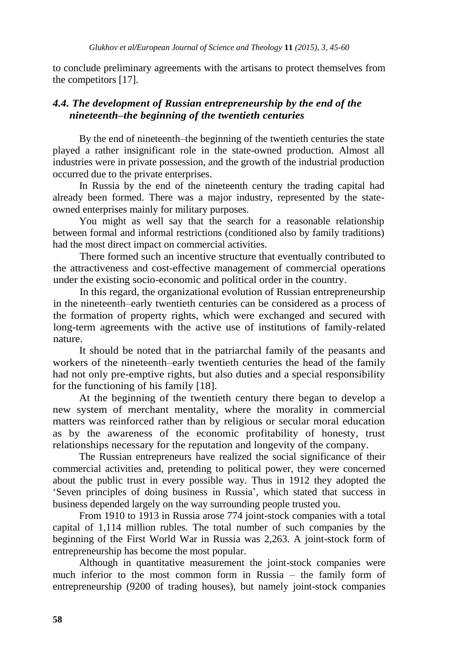to conclude preliminary agreements with the artisans to protect themselves from the competitors [17].

## *4.4. The development of Russian entrepreneurship by the end of the nineteenth–the beginning of the twentieth centuries*

By the end of nineteenth–the beginning of the twentieth centuries the state played a rather insignificant role in the state-owned production. Almost all industries were in private possession, and the growth of the industrial production occurred due to the private enterprises.

In Russia by the end of the nineteenth century the trading capital had already been formed. There was a major industry, represented by the stateowned enterprises mainly for military purposes.

You might as well say that the search for a reasonable relationship between formal and informal restrictions (conditioned also by family traditions) had the most direct impact on commercial activities.

There formed such an incentive structure that eventually contributed to the attractiveness and cost-effective management of commercial operations under the existing socio-economic and political order in the country.

In this regard, the organizational evolution of Russian entrepreneurship in the nineteenth–early twentieth centuries can be considered as a process of the formation of property rights, which were exchanged and secured with long-term agreements with the active use of institutions of family-related nature.

It should be noted that in the patriarchal family of the peasants and workers of the nineteenth–early twentieth centuries the head of the family had not only pre-emptive rights, but also duties and a special responsibility for the functioning of his family [18].

At the beginning of the twentieth century there began to develop a new system of merchant mentality, where the morality in commercial matters was reinforced rather than by religious or secular moral education as by the awareness of the economic profitability of honesty, trust relationships necessary for the reputation and longevity of the company.

The Russian entrepreneurs have realized the social significance of their commercial activities and, pretending to political power, they were concerned about the public trust in every possible way. Thus in 1912 they adopted the 'Seven principles of doing business in Russia', which stated that success in business depended largely on the way surrounding people trusted you.

From 1910 to 1913 in Russia arose 774 joint-stock companies with a total capital of 1,114 million rubles. The total number of such companies by the beginning of the First World War in Russia was 2,263. A joint-stock form of entrepreneurship has become the most popular.

Although in quantitative measurement the joint-stock companies were much inferior to the most common form in Russia – the family form of entrepreneurship (9200 of trading houses), but namely joint-stock companies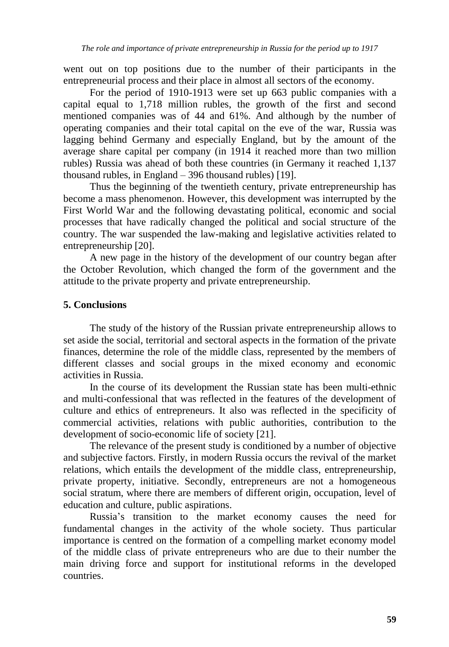went out on top positions due to the number of their participants in the entrepreneurial process and their place in almost all sectors of the economy.

For the period of 1910-1913 were set up 663 public companies with a capital equal to 1,718 million rubles, the growth of the first and second mentioned companies was of 44 and 61%. And although by the number of operating companies and their total capital on the eve of the war, Russia was lagging behind Germany and especially England, but by the amount of the average share capital per company (in 1914 it reached more than two million rubles) Russia was ahead of both these countries (in Germany it reached 1,137 thousand rubles, in England – 396 thousand rubles) [19].

Thus the beginning of the twentieth century, private entrepreneurship has become a mass phenomenon. However, this development was interrupted by the First World War and the following devastating political, economic and social processes that have radically changed the political and social structure of the country. The war suspended the law-making and legislative activities related to entrepreneurship [20].

A new page in the history of the development of our country began after the October Revolution, which changed the form of the government and the attitude to the private property and private entrepreneurship.

## **5. Conclusions**

The study of the history of the Russian private entrepreneurship allows to set aside the social, territorial and sectoral aspects in the formation of the private finances, determine the role of the middle class, represented by the members of different classes and social groups in the mixed economy and economic activities in Russia.

In the course of its development the Russian state has been multi-ethnic and multi-confessional that was reflected in the features of the development of culture and ethics of entrepreneurs. It also was reflected in the specificity of commercial activities, relations with public authorities, contribution to the development of socio-economic life of society [21].

The relevance of the present study is conditioned by a number of objective and subjective factors. Firstly, in modern Russia occurs the revival of the market relations, which entails the development of the middle class, entrepreneurship, private property, initiative. Secondly, entrepreneurs are not a homogeneous social stratum, where there are members of different origin, occupation, level of education and culture, public aspirations.

Russia's transition to the market economy causes the need for fundamental changes in the activity of the whole society. Thus particular importance is centred on the formation of a compelling market economy model of the middle class of private entrepreneurs who are due to their number the main driving force and support for institutional reforms in the developed countries.